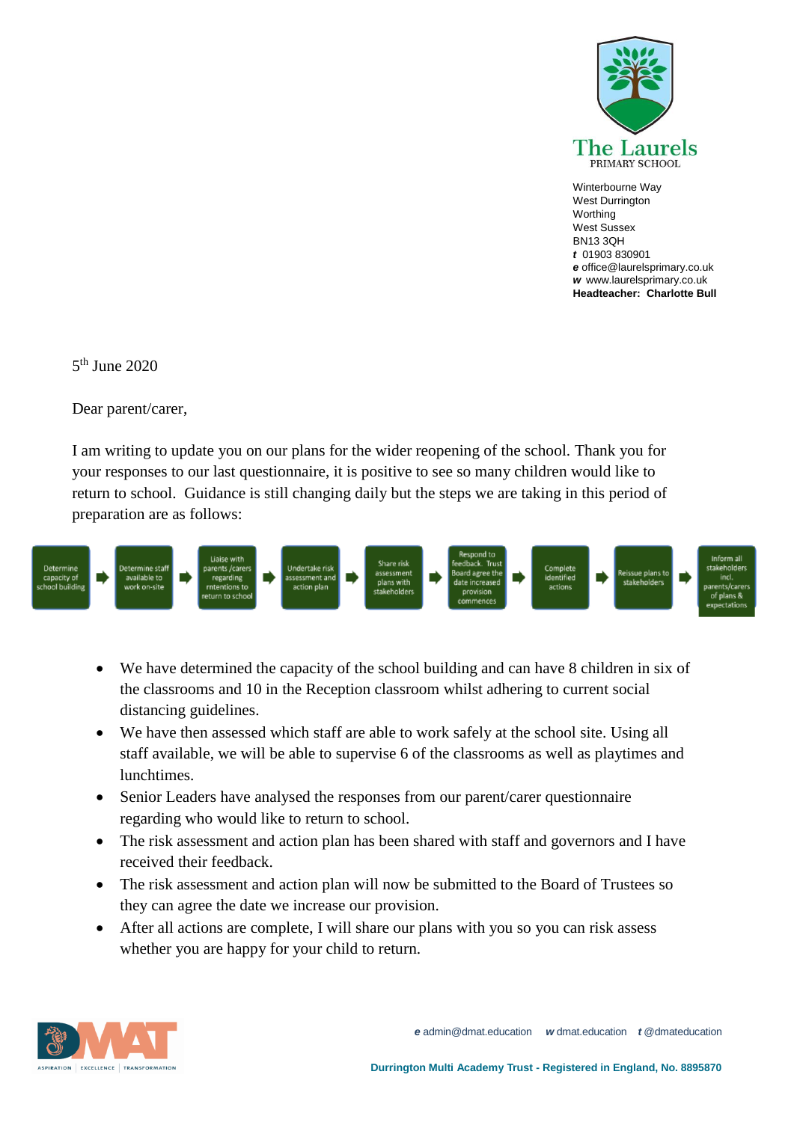

Winterbourne Way West Durrington Worthing West Sussex BN13 3QH *t* 01903 830901 *e* office@laurelsprimary.co.uk *w* www.laurelsprimary.co.uk **Headteacher: Charlotte Bull**

5 th June 2020

Dear parent/carer,

I am writing to update you on our plans for the wider reopening of the school. Thank you for your responses to our last questionnaire, it is positive to see so many children would like to return to school. Guidance is still changing daily but the steps we are taking in this period of preparation are as follows:



- We have determined the capacity of the school building and can have 8 children in six of the classrooms and 10 in the Reception classroom whilst adhering to current social distancing guidelines.
- We have then assessed which staff are able to work safely at the school site. Using all staff available, we will be able to supervise 6 of the classrooms as well as playtimes and lunchtimes.
- Senior Leaders have analysed the responses from our parent/carer questionnaire regarding who would like to return to school.
- The risk assessment and action plan has been shared with staff and governors and I have received their feedback.
- The risk assessment and action plan will now be submitted to the Board of Trustees so they can agree the date we increase our provision.
- After all actions are complete, I will share our plans with you so you can risk assess whether you are happy for your child to return.